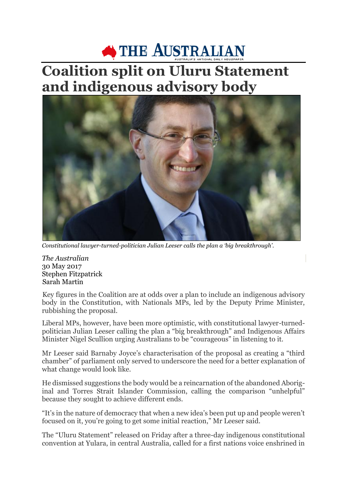## THE AUSTRALIAN

## **Coalition split on Uluru Statement and indigenous advisory body**



*Constitutional lawyer-turned-politician Julian Leeser calls the plan a 'big breakthrough'.*

*The Australian* 30 May 2017 Stephen Fitzpatrick Sarah Martin

Key figures in the Coalition are at odds over a plan to include an indigenous advisory body in the Constitution, with Nationals MPs, led by the Deputy Prime Minister, rubbishing the proposal.

Liberal MPs, however, have been more optimistic, with constitutional lawyer-turnedpolitician Julian Leeser calling the plan a "big breakthrough" and Indigenous Affairs Minister Nigel Scullion urging Australians to be "courageous" in listening to it.

Mr Leeser said Barnaby Joyce's characterisation of the proposal as creating a "third chamber" of parliament only served to underscore the need for a better explanation of what change would look like.

He dismissed suggestions the body would be a reincarnation of the abandoned Aboriginal and Torres Strait Islander Commission, calling the comparison "unhelpful" because they sought to achieve different ends.

"It's in the nature of democracy that when a new idea's been put up and people weren't focused on it, you're going to get some initial reaction," Mr Leeser said.

The "Uluru Statement" released on Friday after a three-day indigenous constitutional convention at Yulara, in central Australia, called for a first nations voice enshrined in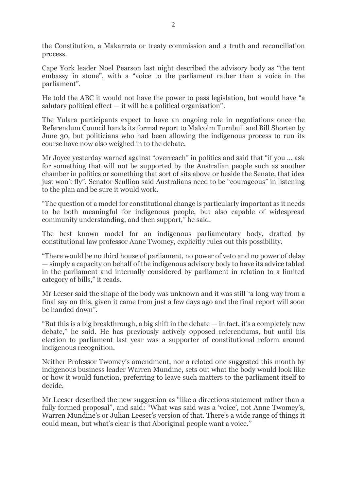the Constitution, a Makarrata or treaty commission and a truth and reconciliation process.

Cape York leader Noel Pearson last night described the advisory body as "the tent embassy in stone", with a "voice to the parliament rather than a voice in the parliament".

He told the ABC it would not have the power to pass legislation, but would have "a salutary political effect — it will be a political organisation''.

The Yulara participants expect to have an ongoing role in negotiations once the Referendum Council hands its formal report to Malcolm Turnbull and Bill Shorten by June 30, but politicians who had been allowing the indigenous process to run its course have now also weighed in to the debate.

Mr Joyce yesterday warned against "overreach" in politics and said that "if you … ask for something that will not be supported by the Australian people such as another chamber in politics or something that sort of sits above or beside the Senate, that idea just won't fly". Senator Scullion said Australians need to be "courageous" in listening to the plan and be sure it would work.

"The question of a model for constitutional change is particularly important as it needs to be both meaningful for indigenous people, but also capable of widespread community understanding, and then support," he said.

The best known model for an indigenous parliamentary body, drafted by constitutional law professor Anne Twomey, explicitly rules out this possibility.

"There would be no third house of parliament, no power of veto and no power of delay — simply a capacity on behalf of the indigenous advisory body to have its advice tabled in the parliament and internally considered by parliament in relation to a limited category of bills," it reads.

Mr Leeser said the shape of the body was unknown and it was still "a long way from a final say on this, given it came from just a few days ago and the final report will soon be handed down".

"But this is a big breakthrough, a big shift in the debate  $-$  in fact, it's a completely new debate," he said. He has previously actively opposed referendums, but until his election to parliament last year was a supporter of constitutional reform around indigenous recognition.

Neither Professor Twomey's amendment, nor a related one suggested this month by indigenous business leader Warren Mundine, sets out what the body would look like or how it would function, preferring to leave such matters to the parliament itself to decide.

Mr Leeser described the new suggestion as "like a directions statement rather than a fully formed proposal", and said: "What was said was a 'voice', not Anne Twomey's, Warren Mundine's or Julian Leeser's version of that. There's a wide range of things it could mean, but what's clear is that Aboriginal people want a voice.''